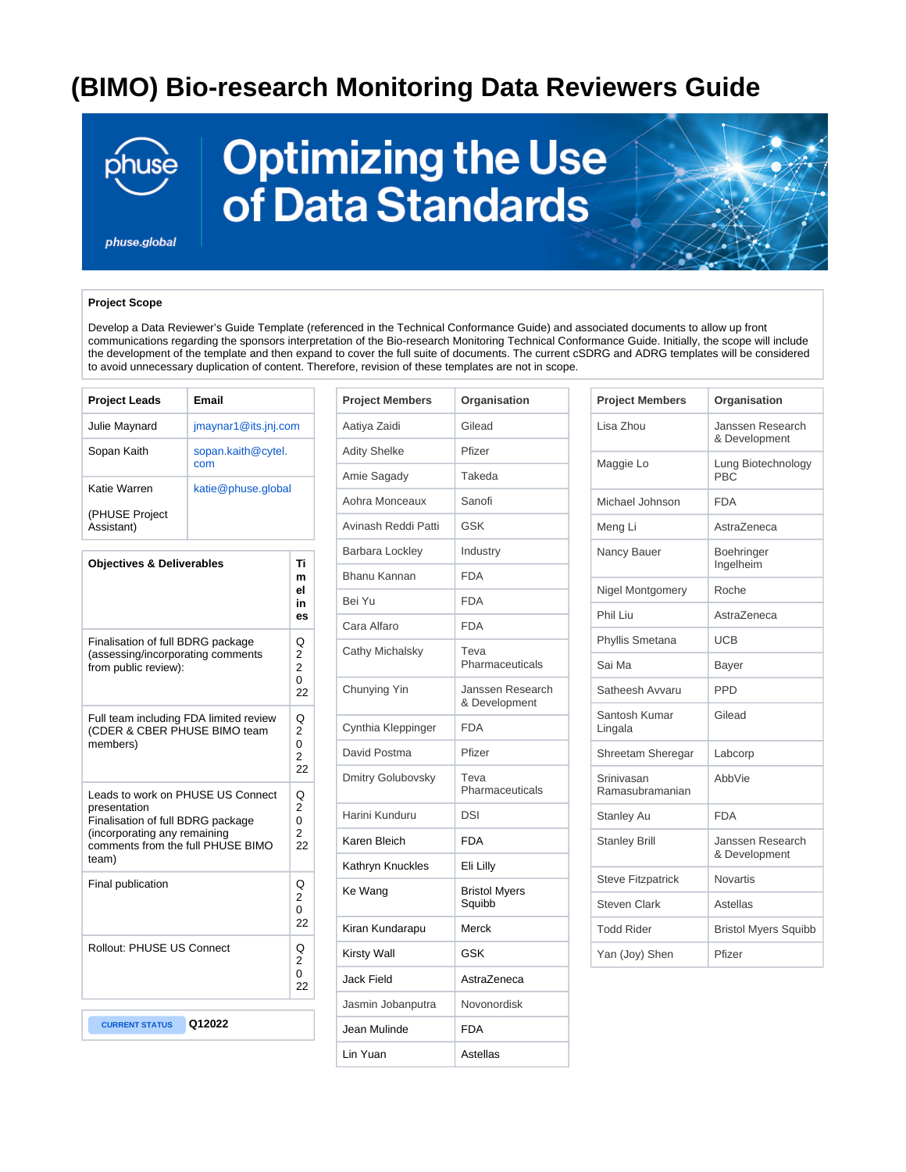## **(BIMO) Bio-research Monitoring Data Reviewers Guide**



# **Optimizing the Use** of Data Standards

phuse.global

### **Project Scope**

Develop a Data Reviewer's Guide Template (referenced in the Technical Conformance Guide) and associated documents to allow up front communications regarding the sponsors interpretation of the Bio-research Monitoring Technical Conformance Guide. Initially, the scope will include the development of the template and then expand to cover the full suite of documents. The current cSDRG and ADRG templates will be considered to avoid unnecessary duplication of content. Therefore, revision of these templates are not in scope.

| <b>Project Leads</b>                                                                                                                                                 | Email                     |                                            |
|----------------------------------------------------------------------------------------------------------------------------------------------------------------------|---------------------------|--------------------------------------------|
| Julie Maynard                                                                                                                                                        | jmaynar1@its.jnj.com      |                                            |
| Sopan Kaith                                                                                                                                                          | sopan.kaith@cytel.<br>com |                                            |
| Katie Warren                                                                                                                                                         | katie@phuse.global        |                                            |
| (PHUSE Project<br>Assistant)                                                                                                                                         |                           |                                            |
| <b>Objectives &amp; Deliverables</b>                                                                                                                                 |                           | Ti<br>m<br>el<br>in<br>es                  |
| Finalisation of full BDRG package<br>(assessing/incorporating comments<br>from public review):                                                                       |                           | Q<br>2<br>$\overline{2}$<br>0<br>22        |
| Full team including FDA limited review<br>(CDER & CBER PHUSE BIMO team<br>members)                                                                                   |                           | Q<br>2<br>$\Omega$<br>$\overline{2}$<br>22 |
| Leads to work on PHUSE US Connect<br>presentation<br>Finalisation of full BDRG package<br>(incorporating any remaining<br>comments from the full PHUSE BIMO<br>team) |                           | Q<br>$\overline{2}$<br>$\Omega$<br>2<br>22 |
| Final publication                                                                                                                                                    |                           | Q<br>$\overline{2}$<br>0<br>22             |
| <b>Rollout: PHUSE US Connect</b>                                                                                                                                     |                           | Q<br>2<br>0<br>22                          |
|                                                                                                                                                                      |                           |                                            |
| <b>CURRENT STATUS</b>                                                                                                                                                | Q12022                    |                                            |

| <b>Project Members</b> | Organisation                      |
|------------------------|-----------------------------------|
| Aatiya Zaidi           | Gilead                            |
| <b>Adity Shelke</b>    | Pfizer                            |
| Amie Sagady            | Takeda                            |
| Aohra Monceaux         | Sanofi                            |
| Avinash Reddi Patti    | GSK                               |
| Barbara Lockley        | Industry                          |
| Bhanu Kannan           | <b>FDA</b>                        |
| Bei Yu                 | <b>FDA</b>                        |
| Cara Alfaro            | <b>FDA</b>                        |
| Cathy Michalsky        | Teva<br>Pharmaceuticals           |
| Chunying Yin           | Janssen Research<br>& Development |
| Cynthia Kleppinger     | <b>FDA</b>                        |
| David Postma           | Pfizer                            |
| Dmitry Golubovsky      | Teva<br>Pharmaceuticals           |
| Harini Kunduru         | DSI                               |
| Karen Bleich           | <b>FDA</b>                        |
| Kathryn Knuckles       | Eli Lilly                         |
| Ke Wang                | <b>Bristol Myers</b><br>Squibb    |
| Kiran Kundarapu        | Merck                             |
| Kirsty Wall            | GSK                               |
| <b>Jack Field</b>      | AstraZeneca                       |
| Jasmin Jobanputra      | Novonordisk                       |
| Jean Mulinde           | <b>FDA</b>                        |
| Lin Yuan               | Astellas                          |

| <b>Project Members</b>        | Organisation                      |  |
|-------------------------------|-----------------------------------|--|
| Lisa Zhou                     | Janssen Research<br>& Development |  |
| Maggie Lo                     | Lung Biotechnology<br><b>PRC</b>  |  |
| Michael Johnson               | <b>FDA</b>                        |  |
| Meng Li                       | AstraZeneca                       |  |
| Nancy Bauer                   | Boehringer<br>Ingelheim           |  |
| <b>Nigel Montgomery</b>       | Roche                             |  |
| Phil Liu                      | AstraZeneca                       |  |
| Phyllis Smetana               | UCB                               |  |
| Sai Ma                        | Bayer                             |  |
| Satheesh Avvaru               | <b>PPD</b>                        |  |
| Santosh Kumar<br>Lingala      | Gilead                            |  |
| Shreetam Sheregar             | Labcorp                           |  |
| Srinivasan<br>Ramasubramanian | AbbVie                            |  |
| <b>Stanley Au</b>             | <b>FDA</b>                        |  |
| <b>Stanley Brill</b>          | Janssen Research<br>& Development |  |
| <b>Steve Fitzpatrick</b>      | Novartis                          |  |
| <b>Steven Clark</b>           | Astellas                          |  |
| <b>Todd Rider</b>             | <b>Bristol Myers Squibb</b>       |  |
| Yan (Joy) Shen                | Pfizer                            |  |